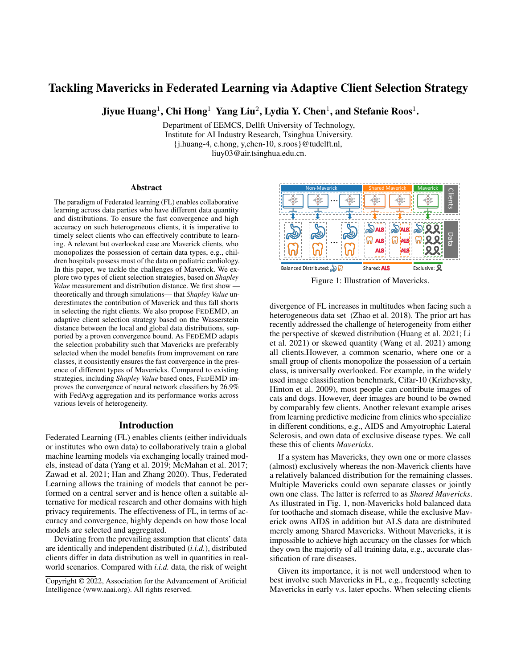# Tackling Mavericks in Federated Learning via Adaptive Client Selection Strategy

Jiyue Huang<sup>1</sup>, Chi Hong<sup>1</sup> Yang Liu<sup>2</sup>, Lydia Y. Chen<sup>1</sup>, and Stefanie Roos<sup>1</sup>.

Department of EEMCS, Dellft University of Technology, Institute for AI Industry Research, Tsinghua University. {j.huang-4, c.hong, y,chen-10, s.roos}@tudelft.nl, liuy03@air.tsinghua.edu.cn.

#### Abstract

The paradigm of Federated learning (FL) enables collaborative learning across data parties who have different data quantity and distributions. To ensure the fast convergence and high accuracy on such heterogeneous clients, it is imperative to timely select clients who can effectively contribute to learning. A relevant but overlooked case are Maverick clients, who monopolizes the possession of certain data types, e.g., children hospitals possess most of the data on pediatric cardiology. In this paper, we tackle the challenges of Maverick. We explore two types of client selection strategies, based on *Shapley Value* measurement and distribution distance. We first show theoretically and through simulations— that *Shapley Value* underestimates the contribution of Maverick and thus fall shorts in selecting the right clients. We also propose FEDEMD, an adaptive client selection strategy based on the Wasserstein distance between the local and global data distributions, supported by a proven convergence bound. As FEDEMD adapts the selection probability such that Mavericks are preferably selected when the model benefits from improvement on rare classes, it consistently ensures the fast convergence in the presence of different types of Mavericks. Compared to existing strategies, including *Shapley Value* based ones, FEDEMD improves the convergence of neural network classifiers by 26.9% with FedAvg aggregation and its performance works across various levels of heterogeneity.

### Introduction

Federated Learning (FL) enables clients (either individuals or institutes who own data) to collaboratively train a global machine learning models via exchanging locally trained models, instead of data (Yang et al. 2019; McMahan et al. 2017; Zawad et al. 2021; Han and Zhang 2020). Thus, Federated Learning allows the training of models that cannot be performed on a central server and is hence often a suitable alternative for medical research and other domains with high privacy requirements. The effectiveness of FL, in terms of accuracy and convergence, highly depends on how those local models are selected and aggregated.

Deviating from the prevailing assumption that clients' data are identically and independent distributed (*i.i.d.*), distributed clients differ in data distribution as well in quantities in realworld scenarios. Compared with *i.i.d.* data, the risk of weight





Figure 1: Illustration of Mavericks.

divergence of FL increases in multitudes when facing such a heterogeneous data set (Zhao et al. 2018). The prior art has recently addressed the challenge of heterogeneity from either the perspective of skewed distribution (Huang et al. 2021; Li et al. 2021) or skewed quantity (Wang et al. 2021) among all clients.However, a common scenario, where one or a small group of clients monopolize the possession of a certain class, is universally overlooked. For example, in the widely used image classification benchmark, Cifar-10 (Krizhevsky, Hinton et al. 2009), most people can contribute images of cats and dogs. However, deer images are bound to be owned by comparably few clients. Another relevant example arises from learning predictive medicine from clinics who specialize in different conditions, e.g., AIDS and Amyotrophic Lateral Sclerosis, and own data of exclusive disease types. We call these this of clients *Mavericks*.

If a system has Mavericks, they own one or more classes (almost) exclusively whereas the non-Maverick clients have a relatively balanced distribution for the remaining classes. Multiple Mavericks could own separate classes or jointly own one class. The latter is referred to as *Shared Mavericks*. As illustrated in Fig. 1, non-Mavericks hold balanced data for toothache and stomach disease, while the exclusive Maverick owns AIDS in addition but ALS data are distributed merely among Shared Mavericks. Without Mavericks, it is impossible to achieve high accuracy on the classes for which they own the majority of all training data, e.g., accurate classification of rare diseases.

Given its importance, it is not well understood when to best involve such Mavericks in FL, e.g., frequently selecting Mavericks in early v.s. later epochs. When selecting clients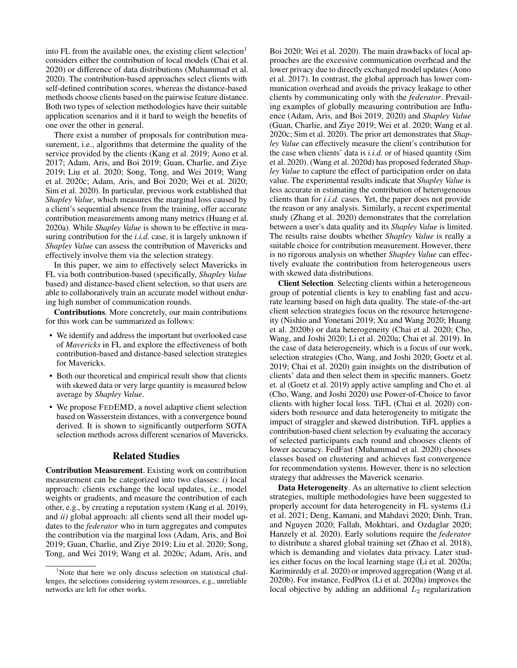into FL from the available ones, the existing client selection $<sup>1</sup>$ </sup> considers either the contribution of local models (Chai et al. 2020) or difference of data distributions (Muhammad et al. 2020). The contribution-based approaches select clients with self-defined contribution scores, whereas the distance-based methods choose clients based on the pairwise feature distance. Both two types of selection methodologies have their suitable application scenarios and it it hard to weigh the benefits of one over the other in general.

There exist a number of proposals for contribution measurement, i.e., algorithms that determine the quality of the service provided by the clients (Kang et al. 2019; Aono et al. 2017; Adam, Aris, and Boi 2019; Guan, Charlie, and Ziye 2019; Liu et al. 2020; Song, Tong, and Wei 2019; Wang et al. 2020c; Adam, Aris, and Boi 2020; Wei et al. 2020; Sim et al. 2020). In particular, previous work established that *Shapley Value*, which measures the marginal loss caused by a client's sequential absence from the training, offer accurate contribution measurements among many metrics (Huang et al. 2020a). While *Shapley Value* is shown to be effective in measuring contribution for the *i.i.d.* case, it is largely unknown if *Shapley Value* can assess the contribution of Mavericks and effectively involve them via the selection strategy.

In this paper, we aim to effectively select Mavericks in FL via both contribution-based (specifically, *Shapley Value* based) and distance-based client selection, so that users are able to collaboratively train an accurate model without enduring high number of communication rounds.

Contributions. More concretely, our main contributions for this work can be summarized as follows:

- We identify and address the important but overlooked case of *Mavericks* in FL and explore the effectiveness of both contribution-based and distance-based selection strategies for Mavericks.
- Both our theoretical and empirical result show that clients with skewed data or very large quantity is measured below average by *Shapley Value*.
- We propose FEDEMD, a novel adaptive client selection based on Wasserstein distances, with a convergence bound derived. It is shown to significantly outperform SOTA selection methods across different scenarios of Mavericks.

## Related Studies

Contribution Measurement. Existing work on contribution measurement can be categorized into two classes: *i)* local approach: clients exchange the local updates, i.e., model weights or gradients, and measure the contribution of each other, e.g., by creating a reputation system (Kang et al. 2019), and *ii)* global approach: all clients send all their model updates to the *federator* who in turn aggregates and computes the contribution via the marginal loss (Adam, Aris, and Boi 2019; Guan, Charlie, and Ziye 2019; Liu et al. 2020; Song, Tong, and Wei 2019; Wang et al. 2020c; Adam, Aris, and

Boi 2020; Wei et al. 2020). The main drawbacks of local approaches are the excessive communication overhead and the lower privacy due to directly exchanged model updates (Aono et al. 2017). In contrast, the global approach has lower communication overhead and avoids the privacy leakage to other clients by communicating only with the *federator*. Prevailing examples of globally measuring contribution are Influence (Adam, Aris, and Boi 2019, 2020) and *Shapley Value* (Guan, Charlie, and Ziye 2019; Wei et al. 2020; Wang et al. 2020c; Sim et al. 2020). The prior art demonstrates that *Shapley Value* can effectively measure the client's contribution for the case when clients' data is *i.i.d.* or of biased quantity (Sim et al. 2020). (Wang et al. 2020d) has proposed federated *Shapley Value* to capture the effect of participation order on data value. The experimental results indicate that *Shapley Value* is less accurate in estimating the contribution of heterogeneous clients than for *i.i.d.* cases. Yet, the paper does not provide the reason or any analysis. Similarly, a recent experimental study (Zhang et al. 2020) demonstrates that the correlation between a user's data quality and its *Shapley Value* is limited. The results raise doubts whether *Shapley Value* is really a suitable choice for contribution measurement. However, there is no rigorous analysis on whether *Shapley Value* can effectively evaluate the contribution from heterogeneous users with skewed data distributions.

Client Selection. Selecting clients within a heterogeneous group of potential clients is key to enabling fast and accurate learning based on high data quality. The state-of-the-art client selection strategies focus on the resource heterogeneity (Nishio and Yonetani 2019; Xu and Wang 2020; Huang et al. 2020b) or data heterogeneity (Chai et al. 2020; Cho, Wang, and Joshi 2020; Li et al. 2020a; Chai et al. 2019). In the case of data heterogeneity, which is a focus of our work, selection strategies (Cho, Wang, and Joshi 2020; Goetz et al. 2019; Chai et al. 2020) gain insights on the distribution of clients' data and then select them in specific manners. Goetz et. al (Goetz et al. 2019) apply active sampling and Cho et. al (Cho, Wang, and Joshi 2020) use Power-of-Choice to favor clients with higher local loss. TiFL (Chai et al. 2020) considers both resource and data heterogeneity to mitigate the impact of straggler and skewed distribution. TiFL applies a contribution-based client selection by evaluating the accuracy of selected participants each round and chooses clients of lower accuracy. FedFast (Muhammad et al. 2020) chooses classes based on clustering and achieves fast convergence for recommendation systems. However, there is no selection strategy that addresses the Maverick scenario.

Data Heterogeneity. As an alternative to client selection strategies, multiple methodologies have been suggested to properly account for data heterogeneity in FL systems (Li et al. 2021; Deng, Kamani, and Mahdavi 2020; Dinh, Tran, and Nguyen 2020; Fallah, Mokhtari, and Ozdaglar 2020; Hanzely et al. 2020). Early solutions require the *federator* to distribute a shared global training set (Zhao et al. 2018), which is demanding and violates data privacy. Later studies either focus on the local learning stage (Li et al. 2020a; Karimireddy et al. 2020) or improved aggregation (Wang et al. 2020b). For instance, FedProx (Li et al. 2020a) improves the local objective by adding an additional  $L_2$  regularization

<sup>&</sup>lt;sup>1</sup>Note that here we only discuss selection on statistical challenges, the selections considering system resources, e.g., unreliable networks are left for other works.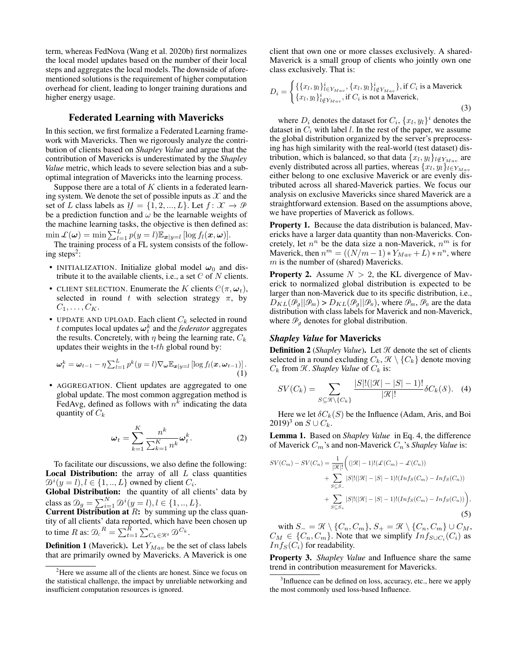term, whereas FedNova (Wang et al. 2020b) first normalizes the local model updates based on the number of their local steps and aggregates the local models. The downside of aforementioned solutions is the requirement of higher computation overhead for client, leading to longer training durations and higher energy usage.

## Federated Learning with Mavericks

In this section, we first formalize a Federated Learning framework with Mavericks. Then we rigorously analyze the contribution of clients based on *Shapley Value* and argue that the contribution of Mavericks is underestimated by the *Shapley Value* metric, which leads to severe selection bias and a suboptimal integration of Mavericks into the learning process.

Suppose there are a total of *K* clients in a federated learning system. We denote the set of possible inputs as  $X$  and the set of *L* class labels as  $\mathcal{Y} = \{1, 2, ..., L\}$ . Let  $f: \mathcal{X} \to \mathcal{P}$ be a prediction function and  $\omega$  be the learnable weights of the machine learning tasks, the objective is then defined as:

 $\min_{\mathbf{w}} \mathcal{L}(\boldsymbol{\omega}) = \min \sum_{l=1}^{L} p(y_l = l) \mathbb{E}_{\boldsymbol{x}|y=l} [\log f_l(\boldsymbol{x}, \boldsymbol{\omega})].$ The training process of a FL system consists of the following steps<sup>2</sup>:

- INITIALIZATION. Initialize global model  $\omega_0$  and distribute it to the available clients, i.e., a set C of *N* clients.
- CLIENT SELECTION. Enumerate the *K* clients  $C(\pi, \omega_t)$ , selected in round t with selection strategy  $\pi$ , by  $C_1, \ldots, C_K$ .
- UPDATE AND UPLOAD. Each client  $C_k$  selected in round *t* computes local updates  $\boldsymbol{\omega}_t^k$  and the *federator* aggregates the results. Concretely, with  $\eta$  being the learning rate,  $C_k$ updates their weights in the t-*th* global round by:

$$
\boldsymbol{\omega}_t^k = \boldsymbol{\omega}_{t-1} - \eta \sum_{l=1}^L p^k (y=l) \nabla_{\boldsymbol{\omega}} \mathbb{E}_{\boldsymbol{x}|y=l} \left[ \log f_l(\boldsymbol{x}, \boldsymbol{\omega}_{t-1}) \right]. \tag{1}
$$

• AGGREGATION. Client updates are aggregated to one global update. The most common aggregation method is FedAvg, defined as follows with  $n^k$  indicating the data quantity of *C<sup>k</sup>*

$$
\omega_t = \sum_{k=1}^K \frac{n^k}{\sum_{k=1}^K n^k} \omega_t^k.
$$
 (2)

To facilitate our discussions, we also define the following: Local Distribution: the array of all *L* class quantities  $\mathcal{D}^i(y=l), l \in \{1, ..., L\}$  owned by client  $C_i$ .

Global Distribution: the quantity of all clients' data by class as  $\mathcal{D}_g = \sum_{i=1}^N \mathcal{D}^i(y=l), l \in \{1, ..., L\}.$ 

**Current Distribution at**  $R$ **:** by summing up the class quantity of all clients' data reported, which have been chosen up to time *R* as:  $\mathcal{D}_c^R = \sum_{t=1}^R \sum_{C_k \in \mathcal{R}^t} \mathcal{D}^{C_k}$ .

Definition 1 (Maverick). Let *YMav* be the set of class labels that are primarily owned by Mavericks. A Maverick is one

client that own one or more classes exclusively. A shared-Maverick is a small group of clients who jointly own one class exclusively. That is:

$$
D_i = \begin{cases} \{\{x_l, y_l\}_{l \in Y_{Max}}, \{x_l, y_l\}_{l \notin Y_{Max}}^i\}, \text{if } C_i \text{ is a Maverick} \\ \{x_l, y_l\}_{l \notin Y_{Max}}, \text{if } C_i \text{ is not a Maverick}, \end{cases}
$$
(3)

where  $D_i$  denotes the dataset for  $C_i$ ,  $\{x_l, y_l\}^i$  denotes the dataset in *C<sup>i</sup>* with label *l*. In the rest of the paper, we assume the global distribution organized by the server's preprocessing has high similarity with the real-world (test dataset) distribution, which is balanced, so that data  $\{x_l, y_l\}_{l \notin Y_{Max}}$  are evenly distributed across all parties, whereas  $\{x_l, y_l\}_{l \in Y_{Max}}$ either belong to one exclusive Maverick or are evenly distributed across all shared-Maverick parties. We focus our analysis on exclusive Mavericks since shared Maverick are a straightforward extension. Based on the assumptions above, we have properties of Maverick as follows.

Property 1. Because the data distribution is balanced, Mavericks have a larger data quantity than non-Mavericks. Concretely, let  $n^n$  be the data size a non-Maverick,  $n^m$  is for Maverick, then  $n^m = ((N/m - 1) * Y_{Mav} + L) * n^n$ , where *m* is the number of (shared) Mavericks.

**Property 2.** Assume  $N > 2$ , the KL divergence of Maverick to normalized global distribution is expected to be larger than non-Maverick due to its specific distribution, i.e.,  $D_{KL}(\mathcal{P}_{g}||\mathcal{P}_{m})$  >  $D_{KL}(\mathcal{P}_{g}||\mathcal{P}_{n})$ , where  $\mathcal{P}_{m}, \mathcal{P}_{n}$  are the data distribution with class labels for Maverick and non-Maverick, where  $\mathcal{P}_g$  denotes for global distribution.

## *Shapley Value* for Mavericks

**Definition 2** (*Shapley Value*). Let  $K$  denote the set of clients selected in a round excluding  $C_k$ ,  $\mathcal{K} \setminus \{C_k\}$  denote moving  $C_k$  from  $K$ . *Shapley Value* of  $C_k$  is:

$$
SV(C_k) = \sum_{S \subseteq \mathcal{K} \backslash \{C_k\}} \frac{|S|!(|\mathcal{K}|-|S|-1)!}{|\mathcal{K}|!} \delta C_k(\mathcal{S}). \quad (4)
$$

Here we let  $\delta C_k(S)$  be the Influence (Adam, Aris, and Boi 2019)<sup>3</sup> on  $S \cup C_k$ .

Lemma 1. Based on *Shapley Value* in Eq. 4, the difference of Maverick *Cm*'s and non-Maverick *Cn*'s *Shapley Value* is:

$$
SV(C_m) - SV(C_n) = \frac{1}{|\mathcal{K}|!} \Big( (|\mathcal{K}| - 1)! (\mathcal{L}(C_m) - \mathcal{L}(C_n)) + \sum_{S \subseteq S_-} |S|! (|\mathcal{K}| - |S| - 1)! (Inf_S(C_m) - Inf_S(C_n)) + \sum_{S \subseteq S_+} |S|! (|\mathcal{K}| - |S| - 1)! (Inf_S(C_m) - Inf_S(C_n)) \Big),
$$
\n(5)

with  $S_{-} = \mathcal{R} \setminus \{C_n, C_m\}$ ,  $S_{+} = \mathcal{R} \setminus \{C_n, C_m\} \cup C_M$ ,  $C_M \in \{C_n, C_m\}$ . Note that we simplify  $Inf_{S \cup C_i}(C_i)$  as  $Inf_S(C_i)$  for readability.

Property 3. *Shapley Value* and Influence share the same trend in contribution measurement for Mavericks.

<sup>&</sup>lt;sup>2</sup>Here we assume all of the clients are honest. Since we focus on the statistical challenge, the impact by unreliable networking and insufficient computation resources is ignored.

<sup>&</sup>lt;sup>3</sup>Influence can be defined on loss, accuracy, etc., here we apply the most commonly used loss-based Influence.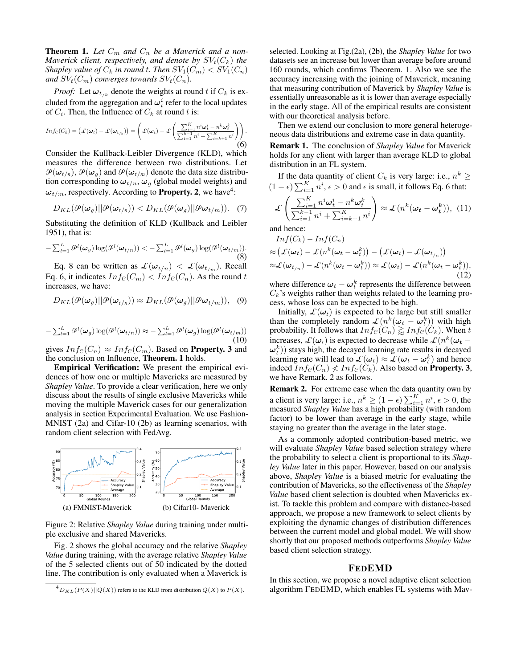**Theorem 1.** Let  $C_m$  and  $C_n$  be a Maverick and a non-*Maverick client, respectively, and denote by*  $SV_t(C_k)$  *the Shapley value of*  $C_k$  *in round t. Then*  $SV_1(C_m) < SV_1(C_n)$ *and*  $SV_t(C_m)$  *converges towards*  $SV_t(C_n)$ *.* 

*Proof:* Let  $\omega_{t/k}$  denote the weights at round *t* if  $C_k$  is excluded from the aggregation and  $\boldsymbol{\omega}_t^i$  refer to the local updates of  $C_i$ . Then, the Influence of  $C_k$  at round t is:

$$
Inf_C(C_k) = \left(\mathcal{L}(\omega_t) - \mathcal{L}(\omega_{t/k})\right) = \left(\mathcal{L}(\omega_t) - \mathcal{L}\left(\frac{\sum_{i=1}^K n^i \omega_t^i - n^k \omega_t^k}{\sum_{i=1}^{k-1} n^i + \sum_{i=k+1}^K n^i}\right)\right).
$$
\n(6)

Consider the Kullback-Leibler Divergence (KLD), which measures the difference between two distributions. Let  $\mathcal{P}(\boldsymbol{\omega}_{t/n}), \mathcal{P}(\boldsymbol{\omega}_q)$  and  $\mathcal{P}(\boldsymbol{\omega}_{t/m})$  denote the data size distribution corresponding to  $\omega_{t/n}$ ,  $\omega_q$  (global model weights) and  $\omega_{t/m}$ , respectively. According to **Property. 2**, we have<sup>4</sup>:

$$
D_{KL}(\mathcal{P}(\boldsymbol{\omega}_g)||\mathcal{P}(\boldsymbol{\omega}_{t/n})) < D_{KL}(\mathcal{P}(\boldsymbol{\omega}_g)||\mathcal{P}\boldsymbol{\omega}_{t/m})). \quad (7)
$$

Substituting the definition of KLD (Kullback and Leibler 1951), that is:

$$
-\sum_{l=1}^{L} \mathcal{P}^{l}(\boldsymbol{\omega}_{g}) \log(\mathcal{P}^{l}(\boldsymbol{\omega}_{t/n})) < -\sum_{l=1}^{L} \mathcal{P}^{l}(\boldsymbol{\omega}_{g}) \log(\mathcal{P}^{l}(\boldsymbol{\omega}_{t/m})).
$$
\n(8)

Eq. 8 can be written as  $\mathcal{L}(\omega_{t/n}) < \mathcal{L}(\omega_{t/m})$ . Recall Eq. 6, it indicates  $Inf_{\mathcal{C}}(C_m) < Inf_{\mathcal{C}}(C_n)$ . As the round *t* increases, we have:

$$
D_{KL}(\mathcal{P}(\boldsymbol{\omega}_g)||\mathcal{P}(\boldsymbol{\omega}_{t/n})) \approx D_{KL}(\mathcal{P}(\boldsymbol{\omega}_g)||\mathcal{P}\boldsymbol{\omega}_{t/m})), \quad (9)
$$

$$
-\sum_{l=1}^{L} \mathcal{P}^{l}(\omega_{g}) \log(\mathcal{P}^{l}(\omega_{t/n})) \approx -\sum_{l=1}^{L} \mathcal{P}^{l}(\omega_{g}) \log(\mathcal{P}^{l}(\omega_{t/m}))
$$
\n(10)

gives  $Inf_{\mathcal{C}}(C_n) \approx Inf_{\mathcal{C}}(C_m)$ . Based on **Property. 3** and the conclusion on Influence, Theorem. 1 holds.

Empirical Verification: We present the empirical evidences of how one or multiple Mavericks are measured by *Shapley Value*. To provide a clear verification, here we only discuss about the results of single exclusive Mavericks while moving the multiple Maverick cases for our generalization analysis in section Experimental Evaluation. We use Fashion-MNIST (2a) and Cifar-10 (2b) as learning scenarios, with random client selection with FedAvg.



Figure 2: Relative *Shapley Value* during training under multiple exclusive and shared Mavericks.

Fig. 2 shows the global accuracy and the relative *Shapley Value* during training, with the average relative *Shapley Value* of the 5 selected clients out of 50 indicated by the dotted line. The contribution is only evaluated when a Maverick is

selected. Looking at Fig.(2a), (2b), the *Shapley Value* for two datasets see an increase but lower than average before around 160 rounds, which confirms Theorem. 1. Also we see the accuracy increasing with the joining of Maverick, meaning that measuring contribution of Maverick by *Shapley Value* is essentially unreasonable as it is lower than average especially in the early stage. All of the empirical results are consistent with our theoretical analysis before.

Then we extend our conclusion to more general heterogeneous data distributions and extreme case in data quantity.

Remark 1. The conclusion of *Shapley Value* for Maverick holds for any client with larger than average KLD to global distribution in an FL system.

If the data quantity of client 
$$
C_k
$$
 is very large: i.e.,  $n^k \ge (1 - \epsilon) \sum_{i=1}^K n^i$ ,  $\epsilon > 0$  and  $\epsilon$  is small, it follows Eq. 6 that:  

$$
\mathcal{L}\left(\frac{\sum_{i=1}^K n^i \omega_i^i - n^k \omega_t^k}{\sum_{i=1}^{K-1} n^i + \sum_{i=k+1}^K n^i}\right) \approx \mathcal{L}(n^k(\omega_t - \omega_t^k)),
$$
(11)

and hence:

$$
Inf(C_k) - Inf(C_n)
$$
  
\n
$$
\approx (\mathcal{L}(\omega_t) - \mathcal{L}(n^k(\omega_t - \omega_t^k)) - (\mathcal{L}(\omega_t) - \mathcal{L}(\omega_{t/n}))
$$
  
\n
$$
\approx \mathcal{L}(\omega_{t/n}) - \mathcal{L}(n^k(\omega_t - \omega_t^k)) \approx \mathcal{L}(\omega_t) - \mathcal{L}(n^k(\omega_t - \omega_t^k)),
$$
\n(12)

where difference  $\omega_t - \omega_t^k$  represents the difference between  $C_k$ 's weights rather than weights related to the learning process, whose loss can be expected to be high.

Initially,  $\mathcal{L}(\omega_t)$  is expected to be large but still smaller than the completely random  $\mathcal{L}(n^k(\omega_t - \omega_t^k))$  with high probability. It follows that  $Inf_{\mathcal{C}}(C_n) \gtrsim Inf_{\mathcal{C}}(C_k)$ . When *t* increases,  $\mathcal{L}(\omega_t)$  is expected to decrease while  $\mathcal{L}(n^k(\omega_t))$  $(\boldsymbol{\omega}_t^k)$ ) stays high, the decayed learning rate results in decayed learning rate will lead to  $\mathcal{L}(\omega_t) \approx \mathcal{L}(\omega_t - \omega_t^k)$  and hence indeed  $Inf_{\mathcal{C}}(C_n) \nleq Inf_{\mathcal{C}}(C_k)$ . Also based on **Property. 3**, we have Remark. 2 as follows.

Remark 2. For extreme case when the data quantity own by a client is very large: i.e.,  $n^k \geq (1 - \epsilon) \sum_{i=1}^K n^i, \epsilon > 0$ , the measured *Shapley Value* has a high probability (with random factor) to be lower than average in the early stage, while staying no greater than the average in the later stage.

As a commonly adopted contribution-based metric, we will evaluate *Shapley Value* based selection strategy where the probability to select a client is proportional to its *Shapley Value* later in this paper. However, based on our analysis above, *Shapley Value* is a biased metric for evaluating the contribution of Mavericks, so the effectiveness of the *Shapley Value* based client selection is doubted when Mavericks exist. To tackle this problem and compare with distance-based approach, we propose a new framework to select clients by exploiting the dynamic changes of distribution differences between the current model and global model. We will show shortly that our proposed methods outperforms *Shapley Value* based client selection strategy.

#### FEDEMD

In this section, we propose a novel adaptive client selection algorithm FEDEMD, which enables FL systems with Mav-

 ${}^4D_{KL}(P(X)||Q(X))$  refers to the KLD from distribution  $Q(X)$  to  $P(X)$ .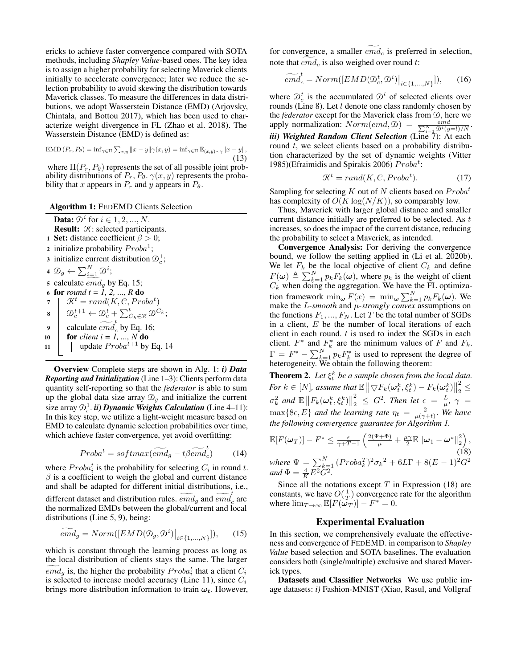ericks to achieve faster convergence compared with SOTA methods, including *Shapley Value*-based ones. The key idea is to assign a higher probability for selecting Maverick clients initially to accelerate convergence; later we reduce the selection probability to avoid skewing the distribution towards Maverick classes. To measure the differences in data distributions, we adopt Wasserstein Distance (EMD) (Arjovsky, Chintala, and Bottou 2017), which has been used to characterize weight divergence in FL (Zhao et al. 2018). The Wasserstein Distance (EMD) is defined as:

$$
\text{EMD}(P_r, P_\theta) = \inf_{\gamma \in \Pi} \sum_{x,y} ||x - y|| \gamma(x,y) = \inf_{\gamma \in \Pi} \mathbb{E}_{(x,y) \sim \gamma} ||x - y||,
$$
\n(13)

where  $\Pi(P_r, P_\theta)$  represents the set of all possible joint probability distributions of  $P_r$ ,  $P_\theta$ ,  $\gamma(x, y)$  represents the probability that *x* appears in  $P_r$  and *y* appears in  $P_\theta$ .

| <b>Algorithm 1: FEDEMD Clients Selection</b> |                                                                                                            |  |  |  |  |  |  |  |  |  |  |
|----------------------------------------------|------------------------------------------------------------------------------------------------------------|--|--|--|--|--|--|--|--|--|--|
|                                              | <b>Data:</b> $\mathcal{D}^i$ for $i \in 1, 2, , N$ .                                                       |  |  |  |  |  |  |  |  |  |  |
|                                              | <b>Result:</b> $K$ : selected participants.                                                                |  |  |  |  |  |  |  |  |  |  |
|                                              | <b>1 Set:</b> distance coefficient $\beta > 0$ ;                                                           |  |  |  |  |  |  |  |  |  |  |
|                                              | 2 initialize probability $Proba^1$ ;                                                                       |  |  |  |  |  |  |  |  |  |  |
|                                              | 3 initialize current distribution $\mathcal{D}_c^1$ ;                                                      |  |  |  |  |  |  |  |  |  |  |
|                                              | 4 $\mathcal{D}_g \leftarrow \sum_{i=1}^N \mathcal{D}^i;$                                                   |  |  |  |  |  |  |  |  |  |  |
|                                              | 5 calculate $emd_q$ by Eq. 15;                                                                             |  |  |  |  |  |  |  |  |  |  |
|                                              | 6 for round $t = 1, 2, , R$ do                                                                             |  |  |  |  |  |  |  |  |  |  |
| 7                                            | $\mathcal{R}^t = rand(K, \mathcal{C}, Prob^t)$                                                             |  |  |  |  |  |  |  |  |  |  |
| 8                                            | $\mathcal{D}_{c}^{t+1} \leftarrow \mathcal{D}_{c}^{t} + \sum_{C_k \in \mathcal{R}}^{t} \mathcal{D}^{C_k};$ |  |  |  |  |  |  |  |  |  |  |
| 9                                            | calculate $\widetilde{emd}_c^t$ by Eq. 16;                                                                 |  |  |  |  |  |  |  |  |  |  |
| 10                                           | for client $i = 1, , N$ do                                                                                 |  |  |  |  |  |  |  |  |  |  |
| 11                                           | update $Proba^{t+1}$ by Eq. 14                                                                             |  |  |  |  |  |  |  |  |  |  |
|                                              |                                                                                                            |  |  |  |  |  |  |  |  |  |  |

Overview Complete steps are shown in Alg. 1: *i) Data Reporting and Initialization* (Line 1–3): Clients perform data quantity self-reporting so that the *federator* is able to sum up the global data size array  $\mathcal{D}_{q}$  and initialize the current size array  $\mathcal{D}_c^1$ . *ii*) Dynamic Weights Calculation (Line 4–11): In this key step, we utilize a light-weight measure based on EMD to calculate dynamic selection probabilities over time, which achieve faster convergence, yet avoid overfitting:

$$
Proba^{t} = softmax(\widetilde{emd}_{g} - t\widetilde{\beta end}_{c}^{t})
$$
 (14)

where  $Proba_i^t$  is the probability for selecting  $C_i$  in round  $t$ .  $\beta$  is a coefficient to weigh the global and current distance and shall be adapted for different initial distributions, i.e., different dataset and distribution rules.  $\widetilde{emd}_g$  and  $\widetilde{emd}_c^t$  are the normalized EMDs between the global/current and local distributions (Line 5, 9), being:

$$
\widetilde{emd}_g = Norm([EMD(\mathcal{D}_g, \mathcal{D}^i)]_{i \in \{1, ..., N\}}]), \qquad (15)
$$

which is constant through the learning process as long as the local distribution of clients stays the same. The larger *emd<sub>g</sub>* is, the higher the probability  $Proba_i^t$  that a client  $C_i$ is selected to increase model accuracy (Line 11), since  $C_i$ brings more distribution information to train  $\omega_t$ . However,

for convergence, a smaller  $emd_c$  is preferred in selection, note that  $emd_c$  is also weighed over round  $t$ .

$$
\widetilde{emd}_{c}^{t} = Norm([EMD(\mathcal{D}_{c}^{t}, \mathcal{D}^{i})|_{i \in \{1, \dots, N\}}]), \quad (16)
$$

where  $\mathcal{D}_c^t$  is the accumulated  $\mathcal{D}^i$  of selected clients over rounds (Line 8). Let *l* denote one class randomly chosen by the *federator* except for the Maverick class from  $D$ , here we apply normalization:  $Norm(emd, \mathcal{D}) = \frac{emd}{\sum_{i=1}^{N} \mathcal{D}^{i}(y=l)/N}$ . *iii) Weighted Random Client Selection* (Line 7): At each round *t*, we select clients based on a probability distribution characterized by the set of dynamic weights (Vitter 1985)(Efraimidis and Spirakis 2006)  $Proba^t$ :

$$
\mathcal{K}^t = rand(K, C, Prob a^t). \tag{17}
$$

Sampling for selecting *K* out of *N* clients based on  $Proba^t$ has complexity of  $O(K \log(N/K))$ , so comparably low.

Thus, Maverick with larger global distance and smaller current distance initially are preferred to be selected. As *t* increases, so does the impact of the current distance, reducing the probability to select a Maverick, as intended.

Convergence Analysis: For deriving the convergence bound, we follow the setting applied in (Li et al. 2020b). We let  $F_k$  be the local objective of client  $C_k$  and define  $F(\omega) \triangleq \sum_{k=1}^{N} p_k F_k(\omega)$ , where  $p_k$  is the weight of client  $C_k$  when doing the aggregation. We have the FL optimization framework  $\min_{\boldsymbol{\omega}} F(x) = \min_{\boldsymbol{\omega}} \sum_{k=1}^{N} p_k F_k(\boldsymbol{\omega})$ . We make the *L-smooth* and *µ-strongly convex* assumptions on the functions  $F_1, ..., F_N$ . Let *T* be the total number of SGDs in a client, *E* be the number of local iterations of each client in each round. *t* is used to index the SGDs in each client.  $F^*$  and  $F^*_k$  are the minimum values of  $F$  and  $F_k$ .  $\Gamma = F^* - \sum_{k=1}^{N} p_k F_k^*$  is used to represent the degree of heterogeneity. We obtain the following theorem:

**Theorem 2.** Let  $\xi_t^k$  be a sample chosen from the local data. *For*  $k \in [N]$ , assume that  $\mathbb{E} \left\| \nabla F_k(\boldsymbol{\omega}_t^k, \xi_t^k) - F_k(\boldsymbol{\omega}_t^k) \right\|_2^2 \leq$  $\int_{0}^{\infty}$  and  $\mathbb{E} \left\| F_k(\boldsymbol{\omega}_t^k, \xi_t^k) \right\|_2^2 \ \leq \ G^2$ . Then let  $\epsilon \ = \ \frac{L}{\mu}$ ,  $\gamma \ =$  $\max\{8\epsilon, E\}$  and the learning rate  $\eta_t = \frac{2}{\mu(\gamma+t)}$ . We have *the following convergence guarantee for Algorithm 1.*

$$
\mathbb{E}[F(\omega_T)] - F^* \le \frac{\epsilon}{\gamma + T - 1} \left( \frac{2(\Psi + \Phi)}{\mu} + \frac{\mu \gamma}{2} \mathbb{E} \left\| \omega_1 - \omega^* \right\|_2^2 \right),
$$
\n(18)  
\nwhere  $\Psi = \sum_{k=1}^N \left( Prob a_k^T \right)^2 \sigma_k^2 + 6L\Gamma + 8(E - 1)^2 G^2$   
\nand  $\Phi = \frac{4}{K} E^2 G^2$ .

Since all the notations except *T* in Expression (18) are constants, we have  $O(\frac{1}{T})$  convergence rate for the algorithm where  $\lim_{T\to\infty} \mathbb{E}[F(\omega_T)] - F^* = 0.$ 

## Experimental Evaluation

In this section, we comprehensively evaluate the effectiveness and convergence of FEDEMD. in comparison to *Shapley Value* based selection and SOTA baselines. The evaluation considers both (single/multiple) exclusive and shared Maverick types.

Datasets and Classifier Networks We use public image datasets: *i)* Fashion-MNIST (Xiao, Rasul, and Vollgraf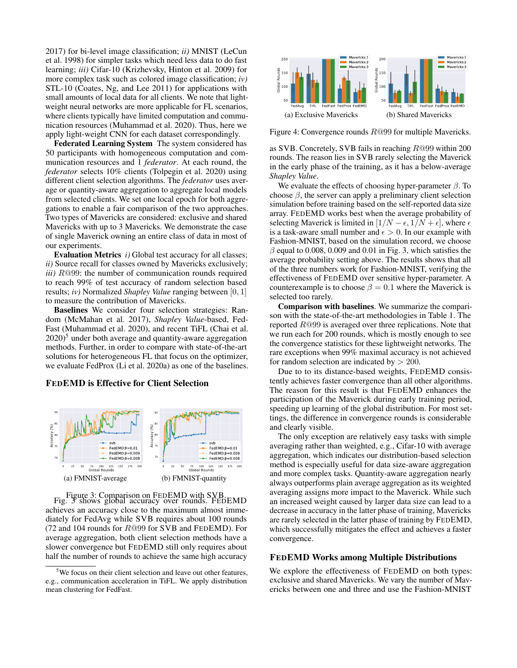2017) for bi-level image classification; *ii)* MNIST (LeCun et al. 1998) for simpler tasks which need less data to do fast learning; *iii)* Cifar-10 (Krizhevsky, Hinton et al. 2009) for more complex task such as colored image classification; *iv)* STL-10 (Coates, Ng, and Lee 2011) for applications with small amounts of local data for all clients. We note that lightweight neural networks are more applicable for FL scenarios, where clients typically have limited computation and communication resources (Muhammad et al. 2020). Thus, here we apply light-weight CNN for each dataset correspondingly.

Federated Learning System The system considered has 50 participants with homogeneous computation and communication resources and 1 *federator*. At each round, the *federator* selects 10% clients (Tolpegin et al. 2020) using different client selection algorithms. The *federator* uses average or quantity-aware aggregation to aggregate local models from selected clients. We set one local epoch for both aggregations to enable a fair comparison of the two approaches. Two types of Mavericks are considered: exclusive and shared Mavericks with up to 3 Mavericks. We demonstrate the case of single Maverick owning an entire class of data in most of our experiments.

Evaluation Metrics *i)* Global test accuracy for all classes; *ii)* Source recall for classes owned by Mavericks exclusively; *iii) R*@99: the number of communication rounds required to reach 99% of test accuracy of random selection based results; *iv)* Normalized *Shapley Value* ranging between [0*,* 1] to measure the contribution of Mavericks.

Baselines We consider four selection strategies: Random (McMahan et al. 2017), *Shapley Value*-based, Fed-Fast (Muhammad et al. 2020), and recent TiFL (Chai et al.  $2020$ <sup>5</sup> under both average and quantity-aware aggregation methods. Further, in order to compare with state-of-the-art solutions for heterogeneous FL that focus on the optimizer, we evaluate FedProx (Li et al. 2020a) as one of the baselines.

### FEDEMD is Effective for Client Selection



Figure 3: Comparison on FEDEMD with SVB. Fig. 3 shows global accuracy over rounds. FEDEMD achieves an accuracy close to the maximum almost immediately for FedAvg while SVB requires about 100 rounds (72 and 104 rounds for *R*@99 for SVB and FEDEMD). For average aggregation, both client selection methods have a slower convergence but FEDEMD still only requires about half the number of rounds to achieve the same high accuracy



Figure 4: Convergence rounds *R*@99 for multiple Mavericks.

as SVB. Concretely, SVB fails in reaching *R*@99 within 200 rounds. The reason lies in SVB rarely selecting the Maverick in the early phase of the training, as it has a below-average *Shapley Value*.

We evaluate the effects of choosing hyper-parameter  $\beta$ . To choose  $\beta$ , the server can apply a preliminary client selection simulation before training based on the self-reported data size array. FEDEMD works best when the average probability of selecting Maverick is limited in  $[1/N - \epsilon, 1/N + \epsilon]$ , where  $\epsilon$ is a task-aware small number and  $\epsilon > 0$ . In our example with Fashion-MNIST, based on the simulation record, we choose  $\beta$  equal to 0.008, 0.009 and 0.01 in Fig. 3, which satisfies the average probability setting above. The results shows that all of the three numbers work for Fashion-MNIST, verifying the effectiveness of FEDEMD over sensitive hyper-parameter. A counterexample is to choose  $\beta = 0.1$  where the Maverick is selected too rarely.

Comparison with baselines. We summarize the comparison with the state-of-the-art methodologies in Table 1. The reported *R*@99 is averaged over three replications. Note that we run each for 200 rounds, which is mostly enough to see the convergence statistics for these lightweight networks. The rare exceptions when 99% maximal accuracy is not achieved for random selection are indicated by *>* 200.

Due to to its distance-based weights, FEDEMD consistently achieves faster convergence than all other algorithms. The reason for this result is that FEDEMD enhances the participation of the Maverick during early training period, speeding up learning of the global distribution. For most settings, the difference in convergence rounds is considerable and clearly visible.

The only exception are relatively easy tasks with simple averaging rather than weighted, e.g., Cifar-10 with average aggregation, which indicates our distribution-based selection method is especially useful for data size-aware aggregation and more complex tasks. Quantity-aware aggregation nearly always outperforms plain average aggregation as its weighted averaging assigns more impact to the Maverick. While such an increased weight caused by larger data size can lead to a decrease in accuracy in the latter phase of training, Mavericks are rarely selected in the latter phase of training by FEDEMD, which successfully mitigates the effect and achieves a faster convergence.

## FEDEMD Works among Multiple Distributions

We explore the effectiveness of FEDEMD on both types: exclusive and shared Mavericks. We vary the number of Mavericks between one and three and use the Fashion-MNIST

<sup>&</sup>lt;sup>5</sup>We focus on their client selection and leave out other features, e.g., communication acceleration in TiFL. We apply distribution mean clustering for FedFast.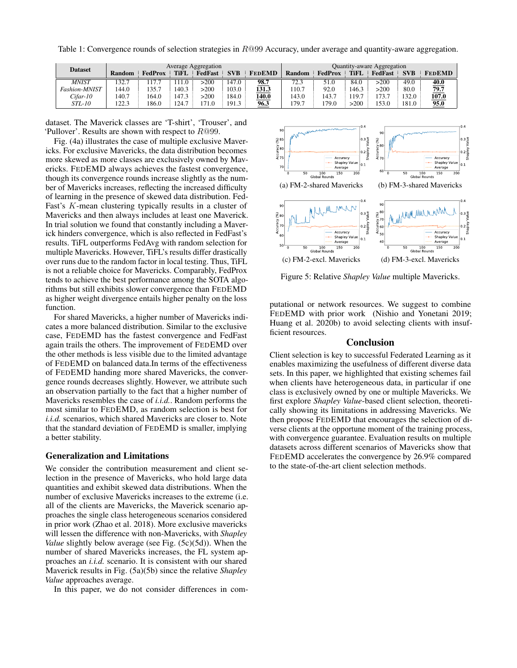Table 1: Convergence rounds of selection strategies in *R*@99 Accuracy, under average and quantity-aware aggregation.

| <b>Dataset</b> | <b>Average Aggregation</b> |         |             |         |            |               | Quantity-aware Aggregation |         |             |                |            |               |
|----------------|----------------------------|---------|-------------|---------|------------|---------------|----------------------------|---------|-------------|----------------|------------|---------------|
|                | Random                     | FedProx | <b>TIFL</b> | FedFast | <b>SVB</b> | <b>FEDEMD</b> | Random                     | FedProx | <b>TiFL</b> | <b>FedFast</b> | <b>SVB</b> | <b>FEDEMD</b> |
| <b>MNIST</b>   | 132.7                      |         |             | -200    | 147.0      | 98.7          | 72.3                       | 51.0    | 84.0        | 200            | 49.0       | <u>40.0</u>   |
| Fashion-MNIST  | 144.0                      | 135.7   | 40.3        | >200    | 103.0      | 131.3         | 110.7                      | 92.0    | 146.3       | >200           | 80.0       | 79.7          |
| Cifar-10       | 140.7                      | 164.0   | 147.3       | >200    | 184.0      | 140.0         | 143.0                      | 143.7   | 19.7        |                | 132.0      | 107.0         |
| <i>STL-10</i>  | 122.3                      | 186.0   | 24.7        |         | 191.3      | 96.3          | .79.7                      | 79.0    | >200        | 53.0           | 181.0      | 95.0          |

dataset. The Maverick classes are 'T-shirt', 'Trouser', and 'Pullover'. Results are shown with respect to *R*@99.

Fig. (4a) illustrates the case of multiple exclusive Mavericks. For exclusive Mavericks, the data distribution becomes more skewed as more classes are exclusively owned by Mavericks. FEDEMD always achieves the fastest convergence, though its convergence rounds increase slightly as the number of Mavericks increases, reflecting the increased difficulty of learning in the presence of skewed data distribution. Fed-Fast's *K*-mean clustering typically results in a cluster of Mavericks and then always includes at least one Maverick. In trial solution we found that constantly including a Maverick hinders convergence, which is also reflected in FedFast's results. TiFL outperforms FedAvg with random selection for multiple Mavericks. However, TiFL's results differ drastically over runs due to the random factor in local testing. Thus, TiFL is not a reliable choice for Mavericks. Comparably, FedProx tends to achieve the best performance among the SOTA algorithms but still exhibits slower convergence than FEDEMD as higher weight divergence entails higher penalty on the loss function.

For shared Mavericks, a higher number of Mavericks indicates a more balanced distribution. Similar to the exclusive case, FEDEMD has the fastest convergence and FedFast again trails the others. The improvement of FEDEMD over the other methods is less visible due to the limited advantage of FEDEMD on balanced data.In terms of the effectiveness of FEDEMD handing more shared Mavericks, the convergence rounds decreases slightly. However, we attribute such an observation partially to the fact that a higher number of Mavericks resembles the case of *i.i.d.*. Random performs the most similar to FEDEMD, as random selection is best for *i.i.d.* scenarios, which shared Mavericks are closer to. Note that the standard deviation of FEDEMD is smaller, implying a better stability.

## Generalization and Limitations

We consider the contribution measurement and client selection in the presence of Mavericks, who hold large data quantities and exhibit skewed data distributions. When the number of exclusive Mavericks increases to the extreme (i.e. all of the clients are Mavericks, the Maverick scenario approaches the single class heterogeneous scenarios considered in prior work (Zhao et al. 2018). More exclusive mavericks will lessen the difference with non-Mavericks, with *Shapley Value* slightly below average (see Fig. (5c)(5d)). When the number of shared Mavericks increases, the FL system approaches an *i.i.d.* scenario. It is consistent with our shared Maverick results in Fig. (5a)(5b) since the relative *Shapley Value* approaches average.

In this paper, we do not consider differences in com-



Figure 5: Relative *Shapley Value* multiple Mavericks.

putational or network resources. We suggest to combine FEDEMD with prior work (Nishio and Yonetani 2019; Huang et al. 2020b) to avoid selecting clients with insufficient resources.

### Conclusion

Client selection is key to successful Federated Learning as it enables maximizing the usefulness of different diverse data sets. In this paper, we highlighted that existing schemes fail when clients have heterogeneous data, in particular if one class is exclusively owned by one or multiple Mavericks. We first explore *Shapley Value*-based client selection, theoretically showing its limitations in addressing Mavericks. We then propose FEDEMD that encourages the selection of diverse clients at the opportune moment of the training process, with convergence guarantee. Evaluation results on multiple datasets across different scenarios of Mavericks show that FEDEMD accelerates the convergence by 26.9% compared to the state-of-the-art client selection methods.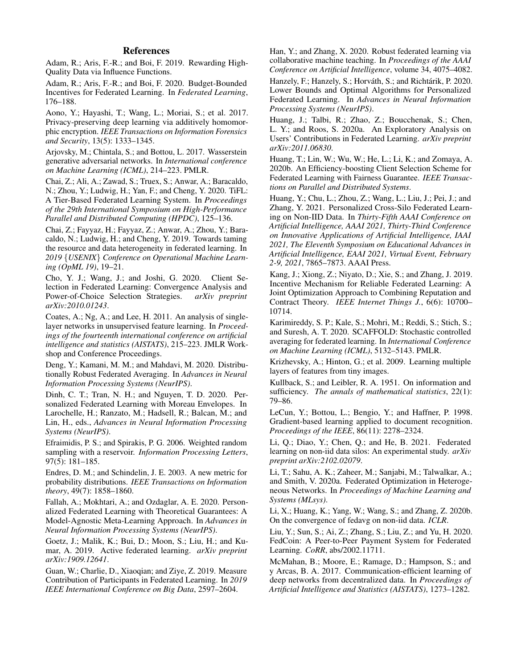## References

Adam, R.; Aris, F.-R.; and Boi, F. 2019. Rewarding High-Quality Data via Influence Functions.

Adam, R.; Aris, F.-R.; and Boi, F. 2020. Budget-Bounded Incentives for Federated Learning. In *Federated Learning*, 176–188.

Aono, Y.; Hayashi, T.; Wang, L.; Moriai, S.; et al. 2017. Privacy-preserving deep learning via additively homomorphic encryption. *IEEE Transactions on Information Forensics and Security*, 13(5): 1333–1345.

Arjovsky, M.; Chintala, S.; and Bottou, L. 2017. Wasserstein generative adversarial networks. In *International conference on Machine Learning (ICML)*, 214–223. PMLR.

Chai, Z.; Ali, A.; Zawad, S.; Truex, S.; Anwar, A.; Baracaldo, N.; Zhou, Y.; Ludwig, H.; Yan, F.; and Cheng, Y. 2020. TiFL: A Tier-Based Federated Learning System. In *Proceedings of the 29th International Symposium on High-Performance Parallel and Distributed Computing (HPDC)*, 125–136.

Chai, Z.; Fayyaz, H.; Fayyaz, Z.; Anwar, A.; Zhou, Y.; Baracaldo, N.; Ludwig, H.; and Cheng, Y. 2019. Towards taming the resource and data heterogeneity in federated learning. In *2019 {USENIX} Conference on Operational Machine Learning (OpML 19)*, 19–21.

Cho, Y. J.; Wang, J.; and Joshi, G. 2020. Client Selection in Federated Learning: Convergence Analysis and Power-of-Choice Selection Strategies. *arXiv preprint arXiv:2010.01243*.

Coates, A.; Ng, A.; and Lee, H. 2011. An analysis of singlelayer networks in unsupervised feature learning. In *Proceedings of the fourteenth international conference on artificial intelligence and statistics (AISTATS)*, 215–223. JMLR Workshop and Conference Proceedings.

Deng, Y.; Kamani, M. M.; and Mahdavi, M. 2020. Distributionally Robust Federated Averaging. In *Advances in Neural Information Processing Systems (NeurIPS)*.

Dinh, C. T.; Tran, N. H.; and Nguyen, T. D. 2020. Personalized Federated Learning with Moreau Envelopes. In Larochelle, H.; Ranzato, M.; Hadsell, R.; Balcan, M.; and Lin, H., eds., *Advances in Neural Information Processing Systems (NeurIPS)*.

Efraimidis, P. S.; and Spirakis, P. G. 2006. Weighted random sampling with a reservoir. *Information Processing Letters*, 97(5): 181–185.

Endres, D. M.; and Schindelin, J. E. 2003. A new metric for probability distributions. *IEEE Transactions on Information theory*, 49(7): 1858–1860.

Fallah, A.; Mokhtari, A.; and Ozdaglar, A. E. 2020. Personalized Federated Learning with Theoretical Guarantees: A Model-Agnostic Meta-Learning Approach. In *Advances in Neural Information Processing Systems (NeurIPS)*.

Goetz, J.; Malik, K.; Bui, D.; Moon, S.; Liu, H.; and Kumar, A. 2019. Active federated learning. *arXiv preprint arXiv:1909.12641*.

Guan, W.; Charlie, D., Xiaoqian; and Ziye, Z. 2019. Measure Contribution of Participants in Federated Learning. In *2019 IEEE International Conference on Big Data*, 2597–2604.

Han, Y.; and Zhang, X. 2020. Robust federated learning via collaborative machine teaching. In *Proceedings of the AAAI Conference on Artificial Intelligence*, volume 34, 4075–4082.

Hanzely, F.; Hanzely, S.; Horváth, S.; and Richtárik, P. 2020. Lower Bounds and Optimal Algorithms for Personalized Federated Learning. In *Advances in Neural Information Processing Systems (NeurIPS)*.

Huang, J.; Talbi, R.; Zhao, Z.; Boucchenak, S.; Chen, L. Y.; and Roos, S. 2020a. An Exploratory Analysis on Users' Contributions in Federated Learning. *arXiv preprint arXiv:2011.06830*.

Huang, T.; Lin, W.; Wu, W.; He, L.; Li, K.; and Zomaya, A. 2020b. An Efficiency-boosting Client Selection Scheme for Federated Learning with Fairness Guarantee. *IEEE Transactions on Parallel and Distributed Systems*.

Huang, Y.; Chu, L.; Zhou, Z.; Wang, L.; Liu, J.; Pei, J.; and Zhang, Y. 2021. Personalized Cross-Silo Federated Learning on Non-IID Data. In *Thirty-Fifth AAAI Conference on Artificial Intelligence, AAAI 2021, Thirty-Third Conference on Innovative Applications of Artificial Intelligence, IAAI 2021, The Eleventh Symposium on Educational Advances in Artificial Intelligence, EAAI 2021, Virtual Event, February 2-9, 2021*, 7865–7873. AAAI Press.

Kang, J.; Xiong, Z.; Niyato, D.; Xie, S.; and Zhang, J. 2019. Incentive Mechanism for Reliable Federated Learning: A Joint Optimization Approach to Combining Reputation and Contract Theory. *IEEE Internet Things J.*, 6(6): 10700– 10714.

Karimireddy, S. P.; Kale, S.; Mohri, M.; Reddi, S.; Stich, S.; and Suresh, A. T. 2020. SCAFFOLD: Stochastic controlled averaging for federated learning. In *International Conference on Machine Learning (ICML)*, 5132–5143. PMLR.

Krizhevsky, A.; Hinton, G.; et al. 2009. Learning multiple layers of features from tiny images.

Kullback, S.; and Leibler, R. A. 1951. On information and sufficiency. *The annals of mathematical statistics*, 22(1): 79–86.

LeCun, Y.; Bottou, L.; Bengio, Y.; and Haffner, P. 1998. Gradient-based learning applied to document recognition. *Proceedings of the IEEE*, 86(11): 2278–2324.

Li, Q.; Diao, Y.; Chen, Q.; and He, B. 2021. Federated learning on non-iid data silos: An experimental study. *arXiv preprint arXiv:2102.02079*.

Li, T.; Sahu, A. K.; Zaheer, M.; Sanjabi, M.; Talwalkar, A.; and Smith, V. 2020a. Federated Optimization in Heterogeneous Networks. In *Proceedings of Machine Learning and Systems (MLsys)*.

Li, X.; Huang, K.; Yang, W.; Wang, S.; and Zhang, Z. 2020b. On the convergence of fedavg on non-iid data. *ICLR*.

Liu, Y.; Sun, S.; Ai, Z.; Zhang, S.; Liu, Z.; and Yu, H. 2020. FedCoin: A Peer-to-Peer Payment System for Federated Learning. *CoRR*, abs/2002.11711.

McMahan, B.; Moore, E.; Ramage, D.; Hampson, S.; and y Arcas, B. A. 2017. Communication-efficient learning of deep networks from decentralized data. In *Proceedings of Artificial Intelligence and Statistics (AISTATS)*, 1273–1282.